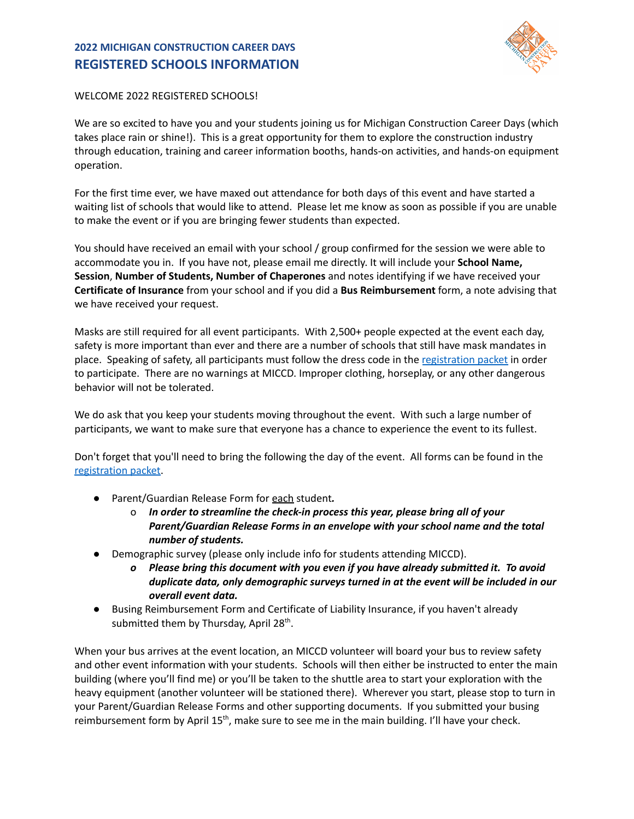## **2022 MICHIGAN CONSTRUCTION CAREER DAYS REGISTERED SCHOOLS INFORMATION**



## WELCOME 2022 REGISTERED SCHOOLS!

We are so excited to have you and your students joining us for Michigan Construction Career Days (which takes place rain or shine!). This is a great opportunity for them to explore the construction industry through education, training and career information booths, hands-on activities, and hands-on equipment operation.

For the first time ever, we have maxed out attendance for both days of this event and have started a waiting list of schools that would like to attend. Please let me know as soon as possible if you are unable to make the event or if you are bringing fewer students than expected.

You should have received an email with your school / group confirmed for the session we were able to accommodate you in. If you have not, please email me directly. It will include your **School Name, Session**, **Number of Students, Number of Chaperones** and notes identifying if we have received your **Certificate of Insurance** from your school and if you did a **Bus Reimbursement** form, a note advising that we have received your request.

Masks are still required for all event participants. With 2,500+ people expected at the event each day, safety is more important than ever and there are a number of schools that still have mask mandates in place. Speaking of safety, all participants must follow the dress code in the [registration](https://www.michiganccd.com/_files/ugd/a28200_ff7b117cd0ff471c97e7464c83430f09.pdf) packet in order to participate. There are no warnings at MICCD. Improper clothing, horseplay, or any other dangerous behavior will not be tolerated.

We do ask that you keep your students moving throughout the event. With such a large number of participants, we want to make sure that everyone has a chance to experience the event to its fullest.

Don't forget that you'll need to bring the following the day of the event. All forms can be found in the [registration](https://www.michiganccd.com/_files/ugd/a28200_b8151bea3aab4e86ba737cab0cfa744f.pdf) packet.

- *●* Parent/Guardian Release Form for each student*.*
	- o *In order to streamline the check-in process this year, please bring all of your Parent/Guardian Release Forms in an envelope with your school name and the total number of students.*
- Demographic survey (please only include info for students attending MICCD).
	- *o Please bring this document with you even if you have already submitted it. To avoid duplicate data, only demographic surveys turned in at the event will be included in our overall event data.*
- Busing Reimbursement Form and Certificate of Liability Insurance, if you haven't already submitted them by Thursday, April 28<sup>th</sup>.

When your bus arrives at the event location, an MICCD volunteer will board your bus to review safety and other event information with your students. Schools will then either be instructed to enter the main building (where you'll find me) or you'll be taken to the shuttle area to start your exploration with the heavy equipment (another volunteer will be stationed there). Wherever you start, please stop to turn in your Parent/Guardian Release Forms and other supporting documents. If you submitted your busing reimbursement form by April 15<sup>th</sup>, make sure to see me in the main building. I'll have your check.